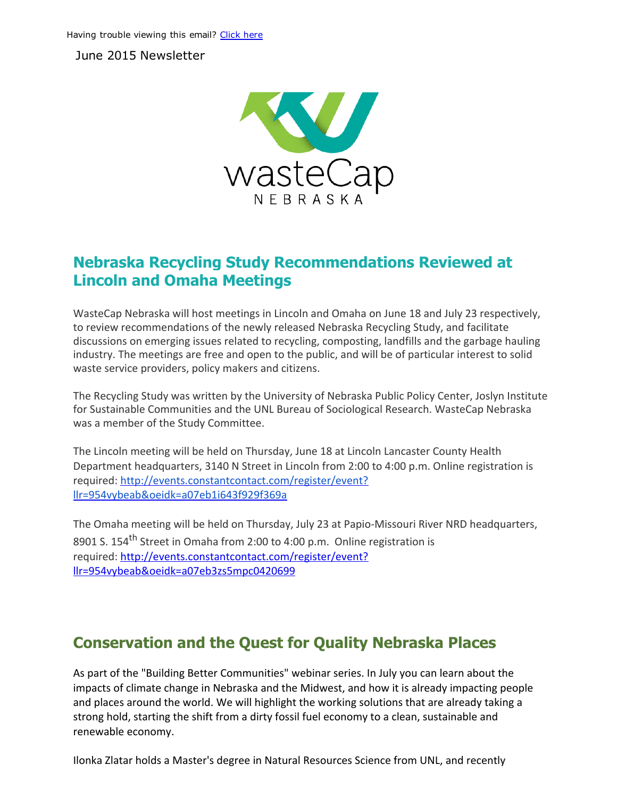June 2015 Newsletter



### Nebraska Recycling Study Recommendations Reviewed at Lincoln and Omaha Meetings

WasteCap Nebraska will host meetings in Lincoln and Omaha on June 18 and July 23 respectively, to review recommendations of the newly released Nebraska Recycling Study, and facilitate discussions on emerging issues related to recycling, composting, landfills and the garbage hauling industry. The meetings are free and open to the public, and will be of particular interest to solid waste service providers, policy makers and citizens.

The Recycling Study was written by the University of Nebraska Public Policy Center, Joslyn Institute for Sustainable Communities and the UNL Bureau of Sociological Research. WasteCap Nebraska was a member of the Study Committee.

The Lincoln meeting will be held on Thursday, June 18 at Lincoln Lancaster County Health Department headquarters, 3140 N Street in Lincoln from 2:00 to 4:00 p.m. Online registration is required: http://events.constantcontact.com/register/event? llr=954vybeab&oeidk=a07eb1i643f929f369a

The Omaha meeting will be held on [Thursday,](http://events.constantcontact.com/register/event?llr=954vybeab&oeidk=a07eb1i643f929f369a) July 23 at Papio‐Missouri River NRD headquarters, 8901 S. 154<sup>th</sup> Street in Omaha from 2:00 to 4:00 p.m. Online registration is required: http://events.constantcontact.com/register/event? llr=954vybeab&oeidk=a07eb3zs5mpc0420699

# Conservation and the Quest for Quality Nebraska Places

As part of the "Building Better Communities" webinar series. In July you can learn about the impacts of climate change in Nebraska and the Midwest, and how it is already impacting people and places around the world. We will highlight the working solutions that are already taking a strong hold, starting the shift from a dirty fossil fuel economy to a clean, sustainable and renewable economy.

Ilonka Zlatar holds a Master's degree in Natural Resources Science from UNL, and recently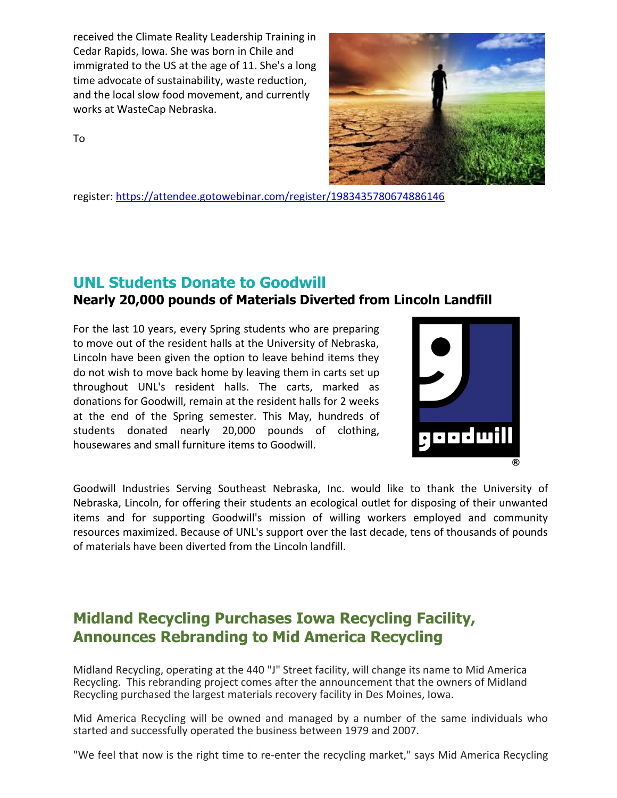received the Climate Reality Leadership Training in Cedar Rapids, Iowa. She was born in Chile and immigrated to the US at the age of 11. She's a long time advocate of sustainability, waste reduction, and the local slow food movement, and currently works at WasteCap Nebraska.



To

register: https://attendee.gotowebinar.com/register/1983435780674886146

### UNL Students Donate to Goodwill

#### Nearly 20,000 pounds of Materials Diverted from Lincoln Landfill

For the last 10 years, every Spring students who are preparing to move out of the resident halls at the University of Nebraska, Lincoln have been given the option to leave behind items they do not wish to move back home by leaving them in carts set up throughout UNL's resident halls. The carts, marked as donations for Goodwill, remain at the resident halls for 2 weeks at the end of the Spring semester. This May, hundreds of students donated nearly 20,000 pounds of clothing, housewares and small furniture items to Goodwill.



Goodwill Industries Serving Southeast Nebraska, Inc. would like to thank the University of Nebraska, Lincoln, for offering their students an ecological outlet for disposing of their unwanted items and for supporting Goodwill's mission of willing workers employed and community resources maximized. Because of UNL's support over the last decade, tens of thousands of pounds of materials have been diverted from the Lincoln landfill.

## Midland Recycling Purchases Iowa Recycling Facility, Announces Rebranding to Mid America Recycling

Midland Recycling, operating at the 440 "J" Street facility, will change its name to Mid America Recycling. This rebranding project comes after the announcement that the owners of Midland Recycling purchased the largest materials recovery facility in Des Moines, Iowa.

Mid America Recycling will be owned and managed by a number of the same individuals who started and successfully operated the business between 1979 and 2007.

"We feel that now is the right time to re‐enter the recycling market," says Mid America Recycling